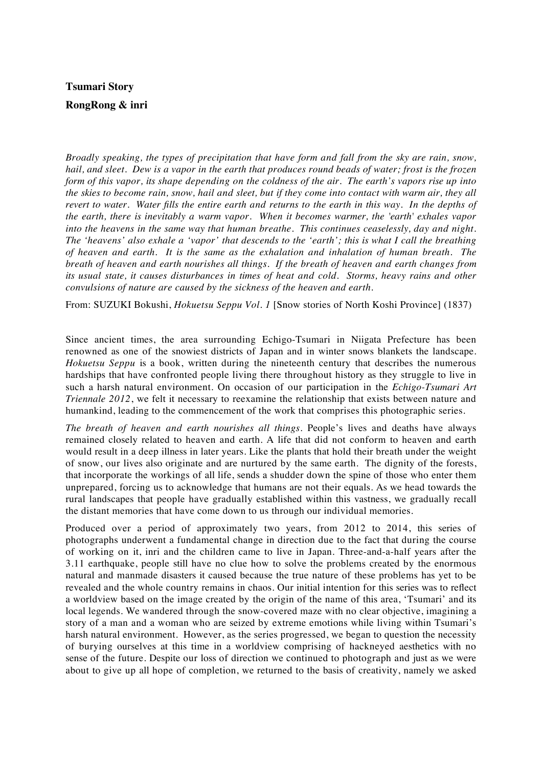## **Tsumari Story RongRong & inri**

*Broadly speaking, the types of precipitation that have form and fall from the sky are rain, snow, hail, and sleet. Dew is a vapor in the earth that produces round beads of water; frost is the frozen form of this vapor, its shape depending on the coldness of the air. The earth's vapors rise up into the skies to become rain, snow, hail and sleet, but if they come into contact with warm air, they all revert to water. Water fills the entire earth and returns to the earth in this way. In the depths of the earth, there is inevitably a warm vapor. When it becomes warmer, the 'earth' exhales vapor into the heavens in the same way that human breathe. This continues ceaselessly, day and night. The 'heavens' also exhale a 'vapor' that descends to the 'earth'; this is what I call the breathing of heaven and earth. It is the same as the exhalation and inhalation of human breath. The breath of heaven and earth nourishes all things. If the breath of heaven and earth changes from its usual state, it causes disturbances in times of heat and cold. Storms, heavy rains and other convulsions of nature are caused by the sickness of the heaven and earth.* 

From: SUZUKI Bokushi, *Hokuetsu Seppu Vol. 1* [Snow stories of North Koshi Province] (1837)

Since ancient times, the area surrounding Echigo-Tsumari in Niigata Prefecture has been renowned as one of the snowiest districts of Japan and in winter snows blankets the landscape. *Hokuetsu Seppu* is a book, written during the nineteenth century that describes the numerous hardships that have confronted people living there throughout history as they struggle to live in such a harsh natural environment. On occasion of our participation in the *Echigo-Tsumari Art Triennale 2012*, we felt it necessary to reexamine the relationship that exists between nature and humankind, leading to the commencement of the work that comprises this photographic series.

*The breath of heaven and earth nourishes all things*. People's lives and deaths have always remained closely related to heaven and earth. A life that did not conform to heaven and earth would result in a deep illness in later years. Like the plants that hold their breath under the weight of snow, our lives also originate and are nurtured by the same earth. The dignity of the forests, that incorporate the workings of all life, sends a shudder down the spine of those who enter them unprepared, forcing us to acknowledge that humans are not their equals. As we head towards the rural landscapes that people have gradually established within this vastness, we gradually recall the distant memories that have come down to us through our individual memories.

Produced over a period of approximately two years, from 2012 to 2014, this series of photographs underwent a fundamental change in direction due to the fact that during the course of working on it, inri and the children came to live in Japan. Three-and-a-half years after the 3.11 earthquake, people still have no clue how to solve the problems created by the enormous natural and manmade disasters it caused because the true nature of these problems has yet to be revealed and the whole country remains in chaos. Our initial intention for this series was to reflect a worldview based on the image created by the origin of the name of this area, 'Tsumari' and its local legends. We wandered through the snow-covered maze with no clear objective, imagining a story of a man and a woman who are seized by extreme emotions while living within Tsumari's harsh natural environment. However, as the series progressed, we began to question the necessity of burying ourselves at this time in a worldview comprising of hackneyed aesthetics with no sense of the future. Despite our loss of direction we continued to photograph and just as we were about to give up all hope of completion, we returned to the basis of creativity, namely we asked